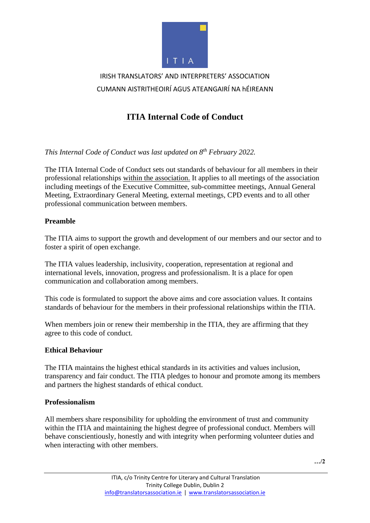

# IRISH TRANSLATORS' AND INTERPRETERS' ASSOCIATION CUMANN AISTRITHEOIRÍ AGUS ATEANGAIRÍ NA hÉIREANN

# **ITIA Internal Code of Conduct**

*This Internal Code of Conduct was last updated on 8 th February 2022.*

The ITIA Internal Code of Conduct sets out standards of behaviour for all members in their professional relationships within the association. It applies to all meetings of the association including meetings of the Executive Committee, sub-committee meetings, Annual General Meeting, Extraordinary General Meeting, external meetings, CPD events and to all other professional communication between members.

## **Preamble**

The ITIA aims to support the growth and development of our members and our sector and to foster a spirit of open exchange.

The ITIA values leadership, inclusivity, cooperation, representation at regional and international levels, innovation, progress and professionalism. It is a place for open communication and collaboration among members.

This code is formulated to support the above aims and core association values. It contains standards of behaviour for the members in their professional relationships within the ITIA.

When members join or renew their membership in the ITIA, they are affirming that they agree to this code of conduct.

## **Ethical Behaviour**

The ITIA maintains the highest ethical standards in its activities and values inclusion, transparency and fair conduct. The ITIA pledges to honour and promote among its members and partners the highest standards of ethical conduct.

## **Professionalism**

All members share responsibility for upholding the environment of trust and community within the ITIA and maintaining the highest degree of professional conduct. Members will behave conscientiously, honestly and with integrity when performing volunteer duties and when interacting with other members.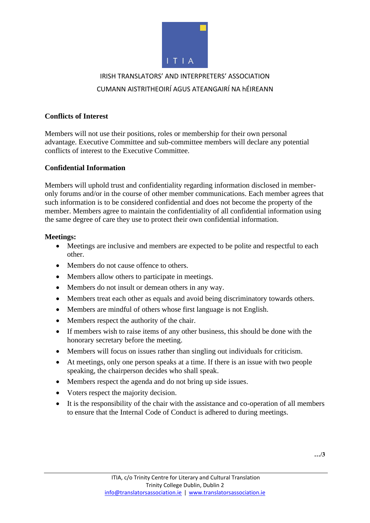

# IRISH TRANSLATORS' AND INTERPRETERS' ASSOCIATION CUMANN AISTRITHEOIRÍ AGUS ATEANGAIRÍ NA hÉIREANN

#### **Conflicts of Interest**

Members will not use their positions, roles or membership for their own personal advantage. Executive Committee and sub-committee members will declare any potential conflicts of interest to the Executive Committee.

#### **Confidential Information**

Members will uphold trust and confidentiality regarding information disclosed in memberonly forums and/or in the course of other member communications. Each member agrees that such information is to be considered confidential and does not become the property of the member. Members agree to maintain the confidentiality of all confidential information using the same degree of care they use to protect their own confidential information.

#### **Meetings:**

- Meetings are inclusive and members are expected to be polite and respectful to each other.
- Members do not cause offence to others.
- Members allow others to participate in meetings.
- Members do not insult or demean others in any way.
- Members treat each other as equals and avoid being discriminatory towards others.
- Members are mindful of others whose first language is not English.
- Members respect the authority of the chair.
- If members wish to raise items of any other business, this should be done with the honorary secretary before the meeting.
- Members will focus on issues rather than singling out individuals for criticism.
- At meetings, only one person speaks at a time. If there is an issue with two people speaking, the chairperson decides who shall speak.
- Members respect the agenda and do not bring up side issues.
- Voters respect the majority decision.
- It is the responsibility of the chair with the assistance and co-operation of all members to ensure that the Internal Code of Conduct is adhered to during meetings.